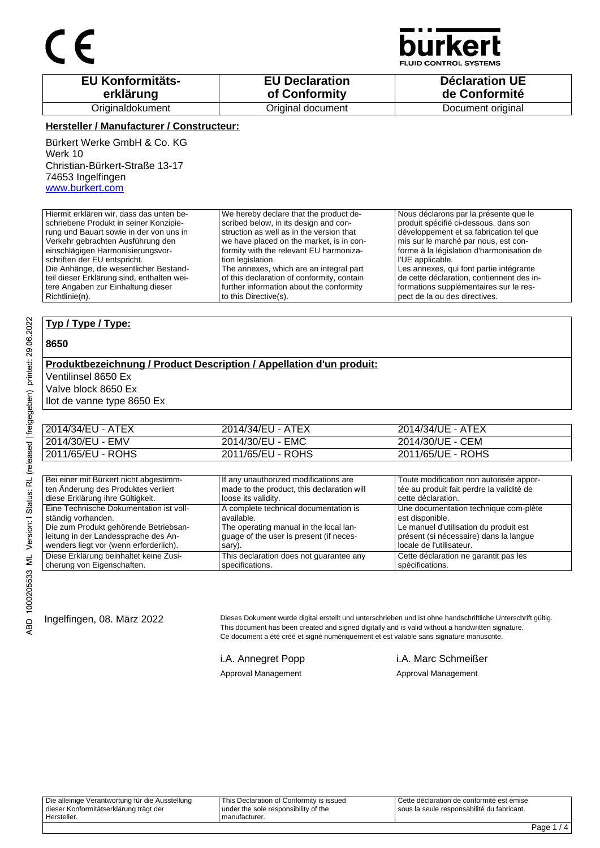

**JID CONTROL SYSTEMS** 

| <b>EU Konformitäts-</b> | <b>EU Declaration</b> | <b>Déclaration UE</b> |
|-------------------------|-----------------------|-----------------------|
| erklärung               | of Conformity         | de Conformité         |
| Originaldokument        | Original document     | Document original     |

### **Hersteller / Manufacturer / Constructeur:**

Bürkert Werke GmbH & Co. KG Werk 10 Christian-Bürkert-Straße 13-17 74653 Ingelfingen www.burkert.com

Hiermit erklären wir, dass das unten beschriebene Produkt in seiner Konzipierung und Bauart sowie in der von uns in Verkehr gebrachten Ausführung den einschlägigen Harmonisierungsvorschriften der EU entspricht. Die Anhänge, die wesentlicher Bestandteil dieser Erklärung sind, enthalten weitere Angaben zur Einhaltung dieser Richtlinie(n). We hereby declare that the product described below, in its design and construction as well as in the version that we have placed on the market, is in conformity with the relevant EU harmonization legislation. The annexes, which are an integral part of this declaration of conformity, contain further information about the conformity to this Directive(s). Nous déclarons par la présente que le produit spécifié ci-dessous, dans son développement et sa fabrication tel que mis sur le marché par nous, est conforme à la législation d'harmonisation de l'UE applicable. Les annexes, qui font partie intégrante de cette déclaration, contiennent des informations supplémentaires sur le respect de la ou des directives.

### **Typ / Type / Type:**

#### **8650**

### **Produktbezeichnung / Product Description / Appellation d'un produit:** Ventilinsel 8650 Ex

Valve block 8650 Ex

Ilot de vanne type 8650 Ex

| 2014/34/EU - ATEX | 2014/34/EU - ATEX | 2014/34/UE - ATEX |
|-------------------|-------------------|-------------------|
| 2014/30/EU - EMV  | 2014/30/EU - EMC  | 2014/30/UE - CEM  |
| 2011/65/EU - ROHS | 2011/65/EU - ROHS | 2011/65/UE - ROHS |

| Bei einer mit Bürkert nicht abgestimm-  | If any unauthorized modifications are      | Toute modification non autorisée appor-   |
|-----------------------------------------|--------------------------------------------|-------------------------------------------|
| ten Änderung des Produktes verliert     | made to the product, this declaration will | tée au produit fait perdre la validité de |
| diese Erklärung ihre Gültigkeit.        | loose its validity.                        | cette déclaration.                        |
| Eine Technische Dokumentation ist voll- | A complete technical documentation is      | Une documentation technique com-plète     |
| ständig vorhanden.                      | available.                                 | est disponible.                           |
| Die zum Produkt gehörende Betriebsan-   | The operating manual in the local lan-     | Le manuel d'utilisation du produit est    |
| leitung in der Landessprache des An-    | quage of the user is present (if neces-    | présent (si nécessaire) dans la langue    |
| wenders liegt vor (wenn erforderlich).  | sary).                                     | locale de l'utilisateur.                  |
| Diese Erklärung beinhaltet keine Zusi-  | This declaration does not guarantee any    | Cette déclaration ne garantit pas les     |
| cherung von Eigenschaften.              | specifications.                            | spécifications.                           |

Ingelfingen, 08. März 2022 Dieses Dokument wurde digital erstellt und unterschrieben und ist ohne handschriftliche Unterschrift gültig. This document has been created and signed digitally and is valid without a handwritten signature. Ce document a été créé et signé numériquement et est valable sans signature manuscrite.

i.A. Annegret Popp i.A. Marc Schmeißer Approval Management Approval Management

| Hersteller.                                     | manufacturer.                            |                                              |
|-------------------------------------------------|------------------------------------------|----------------------------------------------|
| dieser Konformitätserklärung trägt der          | under the sole responsibility of the     | I sous la seule responsabilité du fabricant. |
| Die alleinige Verantwortung für die Ausstellung | This Declaration of Conformity is issued | l Cette déclaration de conformité est émise  |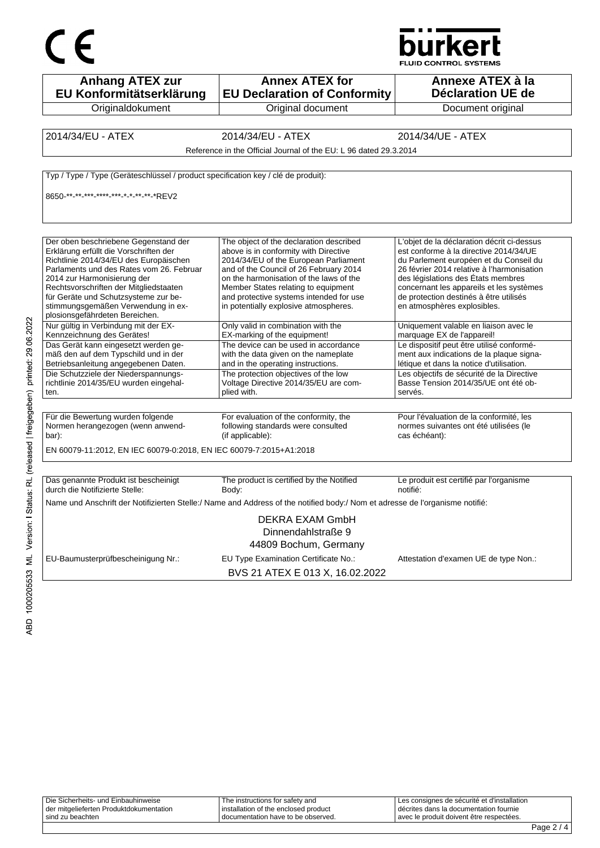



BVS 21 ATEX E 013 X, 16.02.2022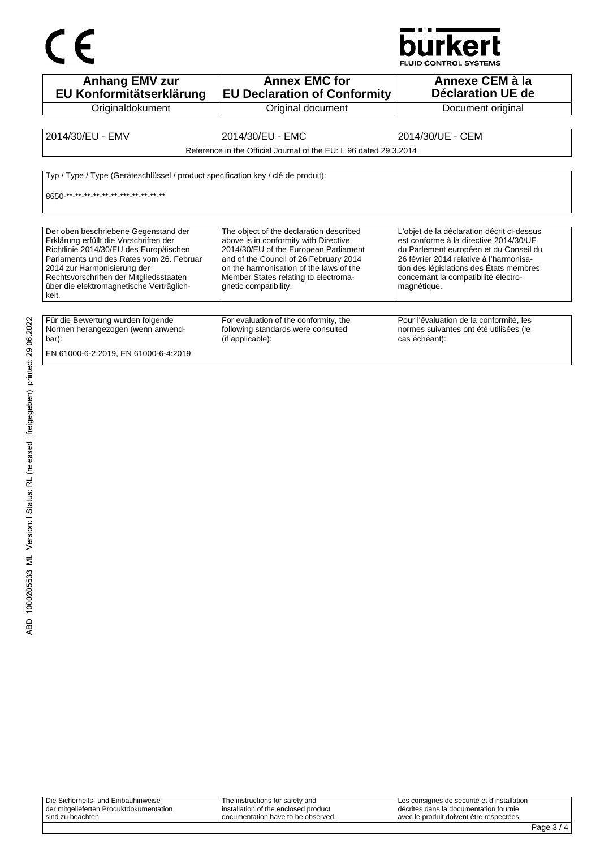# $C \in$



| <b>Anhang EMV zur</b><br>EU Konformitätserklärung                                                                                                                                                                                                                                                   | <b>Annex EMC for</b><br><b>EU Declaration of Conformity</b>                                                                                                                                                                                                                     | Annexe CEM à la<br>Déclaration UE de                                                                                                                                                                                                                                        |
|-----------------------------------------------------------------------------------------------------------------------------------------------------------------------------------------------------------------------------------------------------------------------------------------------------|---------------------------------------------------------------------------------------------------------------------------------------------------------------------------------------------------------------------------------------------------------------------------------|-----------------------------------------------------------------------------------------------------------------------------------------------------------------------------------------------------------------------------------------------------------------------------|
| Originaldokument                                                                                                                                                                                                                                                                                    | Original document                                                                                                                                                                                                                                                               | Document original                                                                                                                                                                                                                                                           |
| 2014/30/EU - EMV                                                                                                                                                                                                                                                                                    | 2014/30/EU - EMC<br>Reference in the Official Journal of the EU: L 96 dated 29.3.2014                                                                                                                                                                                           | 2014/30/UE - CEM                                                                                                                                                                                                                                                            |
| Typ / Type / Type (Geräteschlüssel / product specification key / clé de produit):<br>8650 ** ** ** ** ** ** ** ** ** ** ** **                                                                                                                                                                       |                                                                                                                                                                                                                                                                                 |                                                                                                                                                                                                                                                                             |
| Der oben beschriebene Gegenstand der<br>Erklärung erfüllt die Vorschriften der<br>Richtlinie 2014/30/EU des Europäischen<br>Parlaments und des Rates vom 26. Februar<br>2014 zur Harmonisierung der<br>Rechtsvorschriften der Mitgliedsstaaten<br>über die elektromagnetische Verträglich-<br>keit. | The object of the declaration described<br>above is in conformity with Directive<br>2014/30/EU of the European Parliament<br>and of the Council of 26 February 2014<br>on the harmonisation of the laws of the<br>Member States relating to electroma-<br>gnetic compatibility. | L'objet de la déclaration décrit ci-dessus<br>est conforme à la directive 2014/30/UE<br>du Parlement européen et du Conseil du<br>26 février 2014 relative à l'harmonisa-<br>tion des législations des États membres<br>concernant la compatibilité électro-<br>magnétique. |
| Für die Bewertung wurden folgende<br>Normen herangezogen (wenn anwend-<br>bar):<br>EN 61000-6-2:2019, EN 61000-6-4:2019                                                                                                                                                                             | For evaluation of the conformity, the<br>following standards were consulted<br>(if applicable):                                                                                                                                                                                 | Pour l'évaluation de la conformité, les<br>normes suivantes ont été utilisées (le<br>cas échéant):                                                                                                                                                                          |

| Die Sicherheits- und Einbauhinweise     | The instructions for safety and      | Les consignes de sécurité et d'installation |
|-----------------------------------------|--------------------------------------|---------------------------------------------|
| der mitgelieferten Produktdokumentation | installation of the enclosed product | I décrites dans la documentation fournie    |
| sind zu beachten                        | documentation have to be observed.   | l avec le produit doivent être respectées.  |